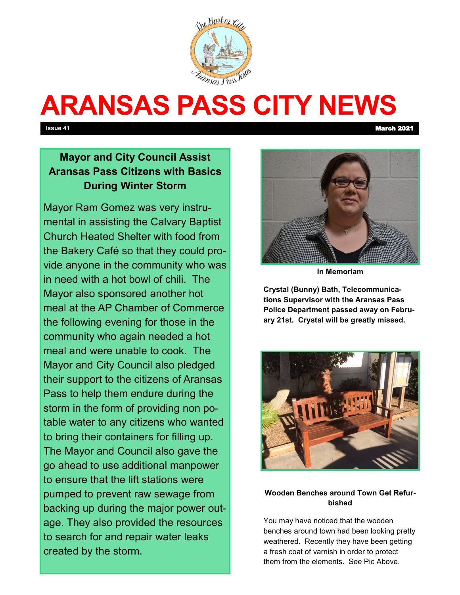

# **ARANSAS PASS CITY NEWS**

**Issue 41** March 2021

# **Mayor and City Council Assist Aransas Pass Citizens with Basics During Winter Storm**

Mayor Ram Gomez was very instrumental in assisting the Calvary Baptist Church Heated Shelter with food from the Bakery Café so that they could provide anyone in the community who was in need with a hot bowl of chili. The Mayor also sponsored another hot meal at the AP Chamber of Commerce the following evening for those in the community who again needed a hot meal and were unable to cook. The Mayor and City Council also pledged their support to the citizens of Aransas Pass to help them endure during the storm in the form of providing non potable water to any citizens who wanted to bring their containers for filling up. The Mayor and Council also gave the go ahead to use additional manpower to ensure that the lift stations were pumped to prevent raw sewage from backing up during the major power outage. They also provided the resources to search for and repair water leaks created by the storm.



**In Memoriam**

**Crystal (Bunny) Bath, Telecommunications Supervisor with the Aransas Pass Police Department passed away on February 21st. Crystal will be greatly missed.**



#### **Wooden Benches around Town Get Refurbished**

You may have noticed that the wooden benches around town had been looking pretty weathered. Recently they have been getting a fresh coat of varnish in order to protect them from the elements. See Pic Above.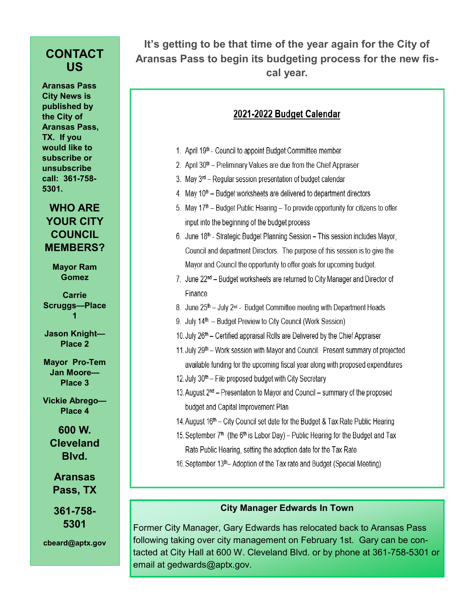### **CONTACT US**

**Aransas Pass City News is published by the City of Aransas Pass, TX. If you would like to subscribe or unsubscribe call: 361-758- 5301.**

#### **WHO ARE YOUR CITY COUNCIL MEMBERS?**

**Mayor Ram Gomez**

**Carrie Scruggs—Place 1**

**Jason Knight— Place 2**

**Mayor Pro-Tem Jan Moore— Place 3**

**Vickie Abrego— Place 4**

> **600 W. Cleveland Blvd.**

**Aransas Pass, TX**

**361-758- 5301**

**cbeard@aptx.gov**

**It's getting to be that time of the year again for the City of Aransas Pass to begin its budgeting process for the new fiscal year.** 

## 2021-2022 Budget Calendar

- 1. April 19th Council to appoint Budget Committee member
- 2. April 30<sup>th</sup> Preliminary Values are due from the Chief Appraiser
- 3. May 3<sup>rd</sup> Regular session presentation of budget calendar
- 4. May 10<sup>th</sup> Budget worksheets are delivered to department directors
- 5. May 17<sup>th</sup> Budget Public Hearing To provide opportunity for citizens to offer input into the beginning of the budget process
- 6. June 18<sup>th</sup> Strategic Budget Planning Session This session includes Mayor, Council and department Directors. The purpose of this session is to give the Mayor and Council the opportunity to offer goals for upcoming budget.
- 7. June 22<sup>nd</sup> Budget worksheets are returned to City Manager and Director of Finance
- 8. June 25<sup>th</sup> July 2<sup>nd</sup> Budget Committee meeting with Department Heads
- 9. July 14<sup>th</sup> Budget Preview to City Council (Work Session)
- 10. July 26<sup>th</sup> Certified appraisal Rolls are Delivered by the Chief Appraiser
- 11. July 29<sup>th</sup> Work session with Mayor and Council. Present summary of projected available funding for the upcoming fiscal year along with proposed expenditures
- 12. July  $30<sup>th</sup>$  File proposed budget with City Secretary
- 13. August 2<sup>nd</sup> Presentation to Mayor and Council summary of the proposed budget and Capital Improvement Plan
- 14. August 16<sup>th</sup> City Council set date for the Budget & Tax Rate Public Hearing
- 15. September 7<sup>th</sup> (the 6<sup>th</sup> is Labor Day) Public Hearing for the Budget and Tax Rate Public Hearing, setting the adoption date for the Tax Rate
- 16. September 13th– Adoption of the Tax rate and Budget (Special Meeting)

#### **City Manager Edwards In Town**

Former City Manager, Gary Edwards has relocated back to Aransas Pass following taking over city management on February 1st. Gary can be contacted at City Hall at 600 W. Cleveland Blvd. or by phone at 361-758-5301 or email at gedwards@aptx.gov.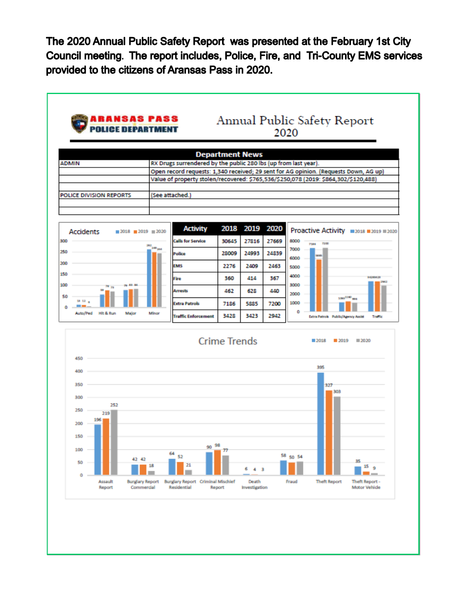The 2020 Annual Public Safety Report was presented at the February 1st City Council meeting. The report includes, Police, Fire, and Tri-County EMS services provided to the citizens of Aransas Pass in 2020.

|                                                   |                                 | <b>Department News</b>                                          |                     |                     |       |                                                                                                                                                                             |
|---------------------------------------------------|---------------------------------|-----------------------------------------------------------------|---------------------|---------------------|-------|-----------------------------------------------------------------------------------------------------------------------------------------------------------------------------|
| <b>ADMIN</b>                                      |                                 | RX Drugs surrendered by the public 280 lbs (up from last year). |                     |                     |       |                                                                                                                                                                             |
|                                                   |                                 |                                                                 |                     |                     |       | Open record requests: 1,340 received; 29 sent for AG opinion. (Requests Down, AG up)<br>Value of property stolen/recovered: \$765,536/\$250,078 (2019: \$864,302/\$120,488) |
|                                                   |                                 |                                                                 |                     |                     |       |                                                                                                                                                                             |
| <b>POLICE DIVISION REPORTS</b>                    | (See attached.)                 |                                                                 |                     |                     |       |                                                                                                                                                                             |
|                                                   |                                 |                                                                 |                     |                     |       |                                                                                                                                                                             |
|                                                   |                                 | <b>Activity</b>                                                 | 2018                | 2019                | 2020  |                                                                                                                                                                             |
| <b>Accidents</b><br>$2018$ $2019$ $=$ 2020<br>300 |                                 | <b>Calls for Service</b>                                        | 30645               | 27816               | 27669 | Proactive Activity =2018 =2019 =2020<br>8000                                                                                                                                |
| 250                                               | 382<br><b>249<sub>244</sub></b> | Police                                                          | 28009               | 24993               | 24839 | <b>Table</b><br>7186<br>7000                                                                                                                                                |
| 200                                               | <b>EMS</b>                      |                                                                 | 2276                | 2409                | 2463  | 58.85<br>6000                                                                                                                                                               |
| 150                                               | Fire                            |                                                                 | 360                 | 414                 | 367   | 5000<br>4000<br>10230428                                                                                                                                                    |
| 100<br><b>79 83 84</b><br>78 <sub>73</sub>        |                                 | Arrests                                                         | 462                 | 628                 | 440   | 3000                                                                                                                                                                        |
| 50<br><b>SE 12 a</b>                              |                                 | <b>Extra Patrols</b>                                            | 7186                | 5885                | 7200  | 2000<br>1003 <sup>2740</sup> and<br>1000                                                                                                                                    |
| --<br>٥<br>Auto/Ped<br>Hit & Run<br>Major         | Minor                           |                                                                 |                     |                     | 2942  | ٥                                                                                                                                                                           |
|                                                   |                                 | <b>Traffic Enforcement</b>                                      | 3428                | 3423                |       | Extra Patrols Public/Agency Assist<br>Traffic                                                                                                                               |
|                                                   |                                 |                                                                 | <b>Crime Trends</b> |                     |       | 2020<br>2018<br>2019                                                                                                                                                        |
| 450                                               |                                 |                                                                 |                     |                     |       | 395                                                                                                                                                                         |
| 400                                               |                                 |                                                                 |                     |                     |       |                                                                                                                                                                             |
| 350                                               |                                 |                                                                 |                     |                     |       | 327                                                                                                                                                                         |
| 300                                               |                                 |                                                                 |                     |                     |       | 303                                                                                                                                                                         |
| 252<br>250<br>219                                 |                                 |                                                                 |                     |                     |       |                                                                                                                                                                             |
| 196<br>200                                        |                                 |                                                                 |                     |                     |       |                                                                                                                                                                             |
| 150                                               |                                 |                                                                 |                     |                     |       |                                                                                                                                                                             |
| 100                                               |                                 | 98<br>90                                                        |                     |                     |       |                                                                                                                                                                             |
| 42 42<br>50                                       | 64                              | 52                                                              |                     |                     |       | 58 50 54<br>35                                                                                                                                                              |
| o                                                 | 18                              | 21                                                              |                     | 6<br>4 <sub>3</sub> |       | 15 <sub>9</sub>                                                                                                                                                             |